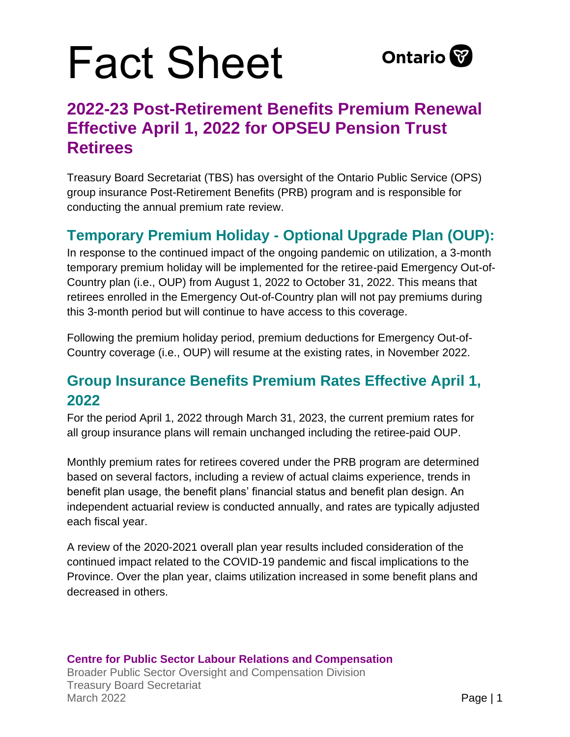## Fact Sheet



## **2022-23 Post-Retirement Benefits Premium Renewal Effective April 1, 2022 for OPSEU Pension Trust Retirees**

Treasury Board Secretariat (TBS) has oversight of the Ontario Public Service (OPS) group insurance Post-Retirement Benefits (PRB) program and is responsible for conducting the annual premium rate review.

### **Temporary Premium Holiday - Optional Upgrade Plan (OUP):**

In response to the continued impact of the ongoing pandemic on utilization, a 3-month temporary premium holiday will be implemented for the retiree-paid Emergency Out-of-Country plan (i.e., OUP) from August 1, 2022 to October 31, 2022. This means that retirees enrolled in the Emergency Out-of-Country plan will not pay premiums during this 3-month period but will continue to have access to this coverage.

Following the premium holiday period, premium deductions for Emergency Out-of-Country coverage (i.e., OUP) will resume at the existing rates, in November 2022.

### **Group Insurance Benefits Premium Rates Effective April 1, 2022**

For the period April 1, 2022 through March 31, 2023, the current premium rates for all group insurance plans will remain unchanged including the retiree-paid OUP.

Monthly premium rates for retirees covered under the PRB program are determined based on several factors, including a review of actual claims experience, trends in benefit plan usage, the benefit plans' financial status and benefit plan design. An independent actuarial review is conducted annually, and rates are typically adjusted each fiscal year.

A review of the 2020-2021 overall plan year results included consideration of the continued impact related to the COVID-19 pandemic and fiscal implications to the Province. Over the plan year, claims utilization increased in some benefit plans and decreased in others.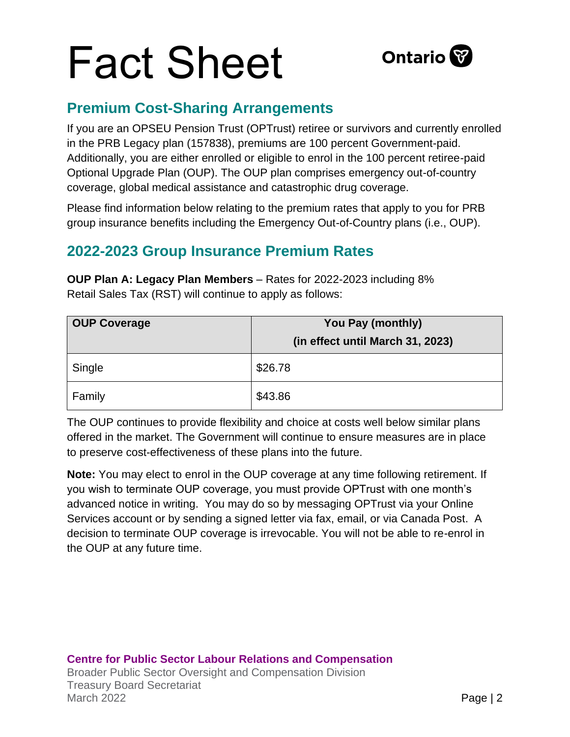# Fact Sheet



#### **Premium Cost-Sharing Arrangements**

If you are an OPSEU Pension Trust (OPTrust) retiree or survivors and currently enrolled in the PRB Legacy plan (157838), premiums are 100 percent Government-paid. Additionally, you are either enrolled or eligible to enrol in the 100 percent retiree-paid Optional Upgrade Plan (OUP). The OUP plan comprises emergency out-of-country coverage, global medical assistance and catastrophic drug coverage.

Please find information below relating to the premium rates that apply to you for PRB group insurance benefits including the Emergency Out-of-Country plans (i.e., OUP).

### **2022-2023 Group Insurance Premium Rates**

**OUP Plan A: Legacy Plan Members** – Rates for 2022-2023 including 8% Retail Sales Tax (RST) will continue to apply as follows:

| <b>OUP Coverage</b> | You Pay (monthly)                |
|---------------------|----------------------------------|
|                     | (in effect until March 31, 2023) |
| Single              | \$26.78                          |
| Family              | \$43.86                          |

The OUP continues to provide flexibility and choice at costs well below similar plans offered in the market. The Government will continue to ensure measures are in place to preserve cost-effectiveness of these plans into the future.

**Note:** You may elect to enrol in the OUP coverage at any time following retirement. If you wish to terminate OUP coverage, you must provide OPTrust with one month's advanced notice in writing. You may do so by messaging OPTrust via your Online Services account or by sending a signed letter via fax, email, or via Canada Post. A decision to terminate OUP coverage is irrevocable. You will not be able to re-enrol in the OUP at any future time.